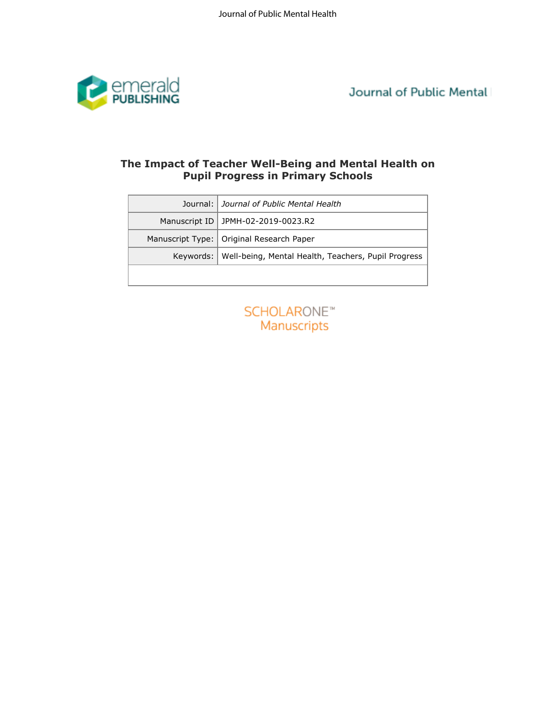

Journal of Public Mental

# **Pupil Progress in Primary Schools**

| Journal:         | Journal of Public Mental Health                     |
|------------------|-----------------------------------------------------|
| Manuscript ID    | JPMH-02-2019-0023.R2                                |
| Manuscript Type: | Original Research Paper                             |
| Keywords:        | Well-being, Mental Health, Teachers, Pupil Progress |
|                  | <b>SCHOLARONE™</b>                                  |
|                  |                                                     |
|                  | Manuscripts                                         |
|                  |                                                     |
|                  |                                                     |
|                  |                                                     |
|                  |                                                     |
|                  |                                                     |
|                  |                                                     |
|                  |                                                     |
|                  |                                                     |
|                  |                                                     |
|                  |                                                     |

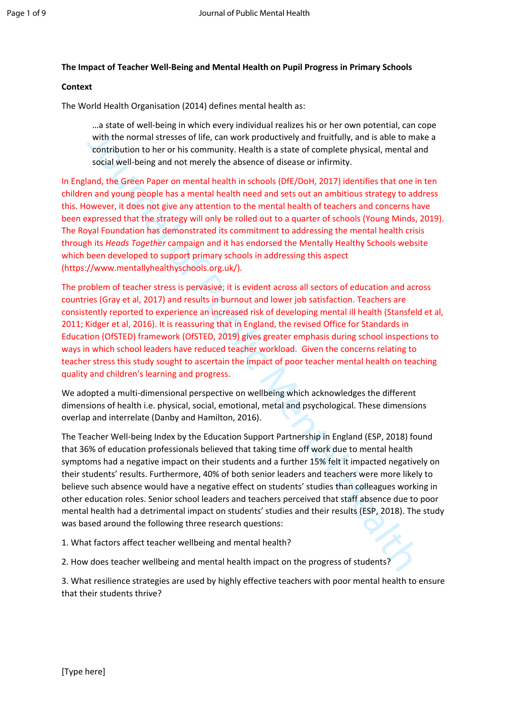## **The Impact of Teacher Well-Being and Mental Health on Pupil Progress in Primary Schools**

#### **Context**

The World Health Organisation (2014) defines mental health as:

…a state of well-being in which every individual realizes his or her own potential, can cope with the normal stresses of life, can work productively and fruitfully, and is able to make a contribution to her or his community. Health is a state of complete physical, mental and social well-being and not merely the absence of disease or infirmity.

with the normal stresses [of](https://www.mentallyhealthyschools.org.uk/) life, can work productively and fruitfully, and is able to may only the normal stresses of life, can work productively and fruitfully, and is able to may contribution to her or his community. He In England, the Green Paper on mental health in schools (DfE/DoH, 2017) identifies that one in ten children and young people has a mental health need and sets out an ambitious strategy to address this. However, it does not give any attention to the mental health of teachers and concerns have been expressed that the strategy will only be rolled out to a quarter of schools (Young Minds, 2019). The Royal Foundation has demonstrated its commitment to addressing the mental health crisis through its *Heads Together* campaign and it has endorsed the Mentally Healthy Schools website which been developed to support primary schools in addressing this aspect (https://www.mentallyhealthyschools.org.uk/).

The problem of teacher stress is pervasive; it is evident across all sectors of education and across countries (Gray et al, 2017) and results in burnout and lower job satisfaction. Teachers are consistently reported to experience an increased risk of developing mental ill health (Stansfeld et al, 2011; Kidger et al, 2016). It is reassuring that in England, the revised Office for Standards in Education (OfSTED) framework (OfSTED, 2019) gives greater emphasis during school inspections to ways in which school leaders have reduced teacher workload. Given the concerns relating to teacher stress this study sought to ascertain the impact of poor teacher mental health on teaching quality and children's learning and progress.

We adopted a multi-dimensional perspective on wellbeing which acknowledges the different dimensions of health i.e. physical, social, emotional, metal and psychological. These dimensions overlap and interrelate (Danby and Hamilton, 2016).

The Teacher Well-being Index by the Education Support Partnership in England (ESP, 2018) found that 36% of education professionals believed that taking time off work due to mental health symptoms had a negative impact on their students and a further 15% felt it impacted negatively on their students' results. Furthermore, 40% of both senior leaders and teachers were more likely to believe such absence would have a negative effect on students' studies than colleagues working in other education roles. Senior school leaders and teachers perceived that staff absence due to poor mental health had a detrimental impact on students' studies and their results (ESP, 2018). The study was based around the following three research questions:

1. What factors affect teacher wellbeing and mental health?

2. How does teacher wellbeing and mental health impact on the progress of students?

3. What resilience strategies are used by highly effective teachers with poor mental health to ensure that their students thrive?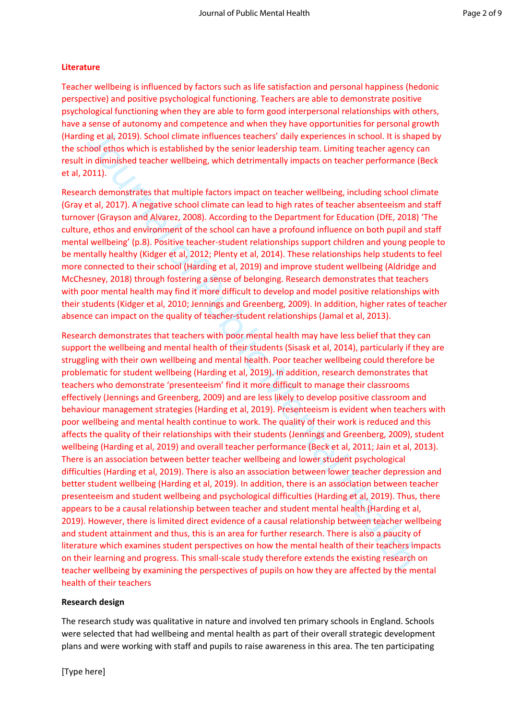# **Literature**

Teacher wellbeing is influenced by factors such as life satisfaction and personal happiness (hedonic perspective) and positive psychological functioning. Teachers are able to demonstrate positive psychological functioning when they are able to form good interpersonal relationships with others, have a sense of autonomy and competence and when they have opportunities for personal growth (Harding et al, 2019). School climate influences teachers' daily experiences in school. It is shaped by the school ethos which is established by the senior leadership team. Limiting teacher agency can result in diminished teacher wellbeing, which detrimentally impacts on teacher performance (Beck et al, 2011).

Research demonstrates that multiple factors impact on teacher wellbeing, including school climate (Gray et al, 2017). A negative school climate can lead to high rates of teacher absenteeism and staff turnover (Grayson and Alvarez, 2008). According to the Department for Education (DfE, 2018) 'The culture, ethos and environment of the school can have a profound influence on both pupil and staff mental wellbeing' (p.8). Positive teacher-student relationships support children and young people to be mentally healthy (Kidger et al, 2012; Plenty et al, 2014). These relationships help students to feel more connected to their school (Harding et al, 2019) and improve student wellbeing (Aldridge and McChesney, 2018) through fostering a sense of belonging. Research demonstrates that teachers with poor mental health may find it more difficult to develop and model positive relationships with their students (Kidger et al, 2010; Jennings and Greenberg, 2009). In addition, higher rates of teacher absence can impact on the quality of teacher-student relationships (Jamal et al, 2013).

ng et al, 2019). School climate influences teachers' daily experiences in school. It is shap<br>not dimissibushind is established ty the senior leadership team. Limiting teacher eyency of<br>climate in dimissibushed is the senio Research demonstrates that teachers with poor mental health may have less belief that they can support the wellbeing and mental health of their students (Sisask et al, 2014), particularly if they are struggling with their own wellbeing and mental health. Poor teacher wellbeing could therefore be problematic for student wellbeing (Harding et al, 2019). In addition, research demonstrates that teachers who demonstrate 'presenteeism' find it more difficult to manage their classrooms effectively (Jennings and Greenberg, 2009) and are less likely to develop positive classroom and behaviour management strategies (Harding et al, 2019). Presenteeism is evident when teachers with poor wellbeing and mental health continue to work. The quality of their work is reduced and this affects the quality of their relationships with their students (Jennings and Greenberg, 2009), student wellbeing (Harding et al, 2019) and overall teacher performance (Beck et al, 2011; Jain et al, 2013). There is an association between better teacher wellbeing and lower student psychological difficulties (Harding et al, 2019). There is also an association between lower teacher depression and better student wellbeing (Harding et al, 2019). In addition, there is an association between teacher presenteeism and student wellbeing and psychological difficulties (Harding et al, 2019). Thus, there appears to be a causal relationship between teacher and student mental health (Harding et al, 2019). However, there is limited direct evidence of a causal relationship between teacher wellbeing and student attainment and thus, this is an area for further research. There is also a paucity of literature which examines student perspectives on how the mental health of their teachers impacts on their learning and progress. This small-scale study therefore extends the existing research on teacher wellbeing by examining the perspectives of pupils on how they are affected by the mental health of their teachers

# **Research design**

The research study was qualitative in nature and involved ten primary schools in England. Schools were selected that had wellbeing and mental health as part of their overall strategic development plans and were working with staff and pupils to raise awareness in this area. The ten participating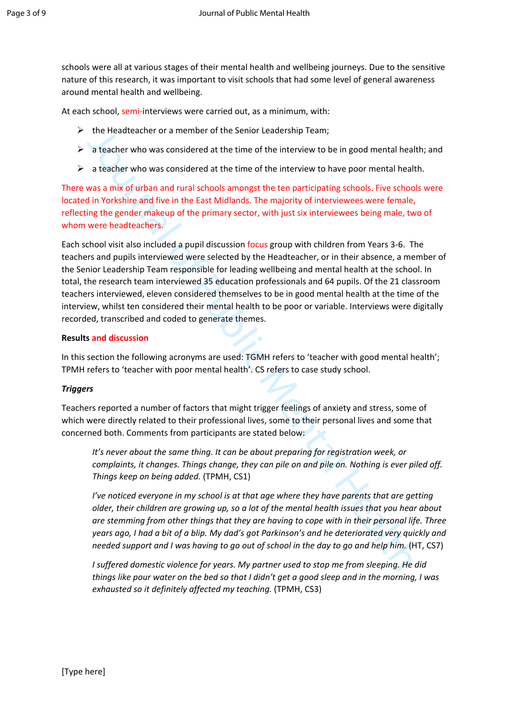schools were all at various stages of their mental health and wellbeing journeys. Due to the sensitive nature of this research, it was important to visit schools that had some level of general awareness around mental health and wellbeing.

At each school, semi-interviews were carried out, as a minimum, with:

- $\triangleright$  the Headteacher or a member of the Senior Leadership Team;
- $\triangleright$  a teacher who was considered at the time of the interview to be in good mental health; and
- $\triangleright$  a teacher who was considered at the time of the interview to have poor mental health.

There was a mix of urban and rural schools amongst the ten participating schools. Five schools were located in Yorkshire and five in the East Midlands. The majority of interviewees were female, reflecting the gender makeup of the primary sector, with just six interviewees being male, two of whom were headteachers.

the Headteacher or a member of the Senior Leadership Team;<br>
a teacher who was considered at the time of the interview to be in good mental health<br>
a teacher who was considered at the time of the interview to have poor ment Each school visit also included a pupil discussion focus group with children from Years 3-6. The teachers and pupils interviewed were selected by the Headteacher, or in their absence, a member of the Senior Leadership Team responsible for leading wellbeing and mental health at the school. In total, the research team interviewed 35 education professionals and 64 pupils. Of the 21 classroom teachers interviewed, eleven considered themselves to be in good mental health at the time of the interview, whilst ten considered their mental health to be poor or variable. Interviews were digitally recorded, transcribed and coded to generate themes.

#### **Results and discussion**

In this section the following acronyms are used: TGMH refers to 'teacher with good mental health'; TPMH refers to 'teacher with poor mental health'. CS refers to case study school.

#### *Triggers*

Teachers reported a number of factors that might trigger feelings of anxiety and stress, some of which were directly related to their professional lives, some to their personal lives and some that concerned both. Comments from participants are stated below:

It's never about the same thing. It can be about preparing for registration week, or *complaints, it changes. Things change, they can pile on and pile on. Nothing is ever piled off. Things keep on being added.* (TPMH, CS1)

*I've noticed everyone in my school is at that age where they have parents that are getting older, their children are growing up, so a lot of the mental health issues that you hear about are stemming from other things that they are having to cope with in their personal life. Three years ago, I had a bit of a blip. My dad's got Parkinson's and he deteriorated very quickly and needed support and I was having to go out of school in the day to go and help him.* (HT, CS7)

*I suffered domestic violence for years. My partner used to stop me from sleeping. He did things like pour water on the bed so that I didn't get a good sleep and in the morning, I was exhausted so it definitely affected my teaching.* (TPMH, CS3)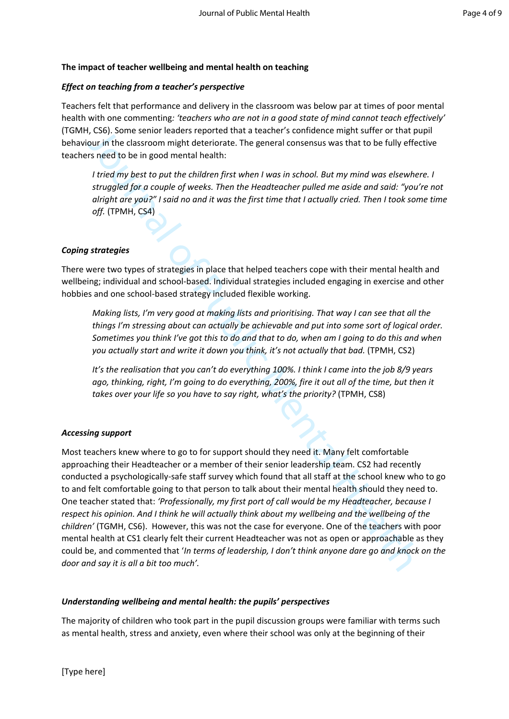## **The impact of teacher wellbeing and mental health on teaching**

## *Effect on teaching from a teacher's perspective*

Teachers felt that performance and delivery in the classroom was below par at times of poor mental health with one commenting*: 'teachers who are not in a good state of mind cannot teach effectively'* (TGMH, CS6). Some senior leaders reported that a teacher's confidence might suffer or that pupil behaviour in the classroom might deteriorate. The general consensus was that to be fully effective teachers need to be in good mental health:

*I tried my best to put the children first when I was in school. But my mind was elsewhere. I struggled for a couple of weeks. Then the Headteacher pulled me aside and said: "you're not alright are you?" I said no and it was the first time that I actually cried. Then I took some time off.* (TPMH, CS4)

#### *Coping strategies*

There were two types of strategies in place that helped teachers cope with their mental health and wellbeing; individual and school-based. Individual strategies included engaging in exercise and other hobbies and one school-based strategy included flexible working.

*Making lists, I'm very good at making lists and prioritising. That way I can see that all the things I'm stressing about can actually be achievable and put into some sort of logical order. Sometimes you think I've got this to do and that to do, when am I going to do this and when you actually start and write it down you think, it's not actually that bad.* (TPMH, CS2)

*It's the realisation that you can't do everything 100%. I think I came into the job 8/9 years ago, thinking, right, I'm going to do everything, 200%, fire it out all of the time, but then it takes over your life so you have to say right, what's the priority?* (TPMH, CS8)

#### *Accessing support*

I, CSI: Some senior leaders reported that a teacher's contidence might suffer or that public means of the leaders reported that a teacher's contidence might suffer be public free systems that to be fully effects are dot b Most teachers knew where to go to for support should they need it. Many felt comfortable approaching their Headteacher or a member of their senior leadership team. CS2 had recently conducted a psychologically-safe staff survey which found that all staff at the school knew who to go to and felt comfortable going to that person to talk about their mental health should they need to. One teacher stated that: *'Professionally, my first port of call would be my Headteacher, because I respect his opinion. And I think he will actually think about my wellbeing and the wellbeing of the children'* (TGMH, CS6). However, this was not the case for everyone. One of the teachers with poor mental health at CS1 clearly felt their current Headteacher was not as open or approachable as they could be, and commented that '*In terms of leadership, I don't think anyone dare go and knock on the door and say it is all a bit too much'.* 

#### *Understanding wellbeing and mental health: the pupils' perspectives*

The majority of children who took part in the pupil discussion groups were familiar with terms such as mental health, stress and anxiety, even where their school was only at the beginning of their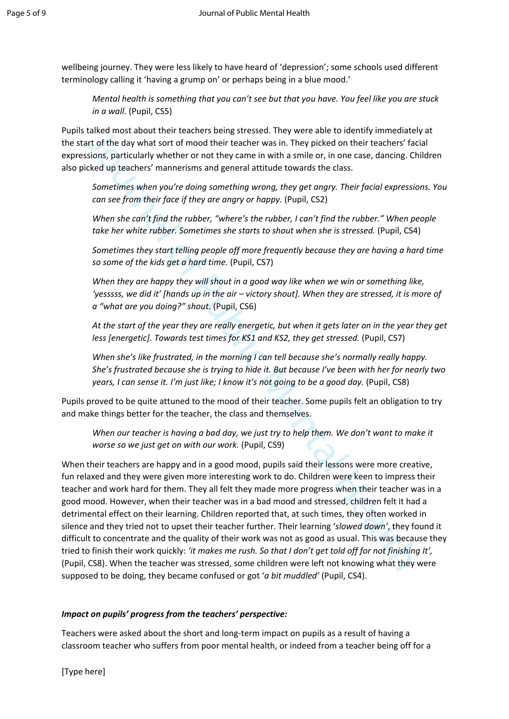wellbeing journey. They were less likely to have heard of 'depression'; some schools used different terminology calling it 'having a grump on' or perhaps being in a blue mood.'

*Mental health is something that you can't see but that you have. You feel like you are stuck in a wall.* (Pupil, CS5)

Pupils talked most about their teachers being stressed. They were able to identify immediately at the start of the day what sort of mood their teacher was in. They picked on their teachers' facial expressions, particularly whether or not they came in with a smile or, in one case, dancing. Children also picked up teachers' mannerisms and general attitude towards the class.

*Sometimes when you're doing something wrong, they get angry. Their facial expressions. You can see from their face if they are angry or happy.* (Pupil, CS2)

*When she can't find the rubber, "where's the rubber, I can't find the rubber." When people*  take her white rubber. Sometimes she starts to shout when she is stressed. (Pupil, CS4)

*Sometimes they start telling people off more frequently because they are having a hard time so some of the kids get a hard time.* (Pupil, CS7)

*When they are happy they will shout in a good way like when we win or something like, 'yesssss, we did it' [hands up in the air – victory shout]. When they are stressed, it is more of a "what are you doing?" shout*. (Pupil, CS6)

*At the start of the year they are really energetic, but when it gets later on in the year they get less [energetic]. Towards test times for KS1 and KS2, they get stressed.* (Pupil, CS7)

*When she's like frustrated, in the morning I can tell because she's normally really happy. She's frustrated because she is trying to hide it. But because I've been with her for nearly two years, I can sense it. I'm just like; I know it's not going to be a good day.* (Pupil, CS8)

Pupils proved to be quite attuned to the mood of their teacher. Some pupils felt an obligation to try and make things better for the teacher, the class and themselves.

*When our teacher is having a bad day, we just try to help them. We don't want to make it worse so we just get on with our work.* (Pupil, CS9)

tialked most about their teachers being stressed. They were able to identify immediately<br>consider that and they increase the model that teachers was in. They picked on their teachers' facions, particularly whether or not t When their teachers are happy and in a good mood, pupils said their lessons were more creative, fun relaxed and they were given more interesting work to do. Children were keen to impress their teacher and work hard for them. They all felt they made more progress when their teacher was in a good mood. However, when their teacher was in a bad mood and stressed, children felt it had a detrimental effect on their learning. Children reported that, at such times, they often worked in silence and they tried not to upset their teacher further. Their learning '*slowed down'*, they found it difficult to concentrate and the quality of their work was not as good as usual. This was because they tried to finish their work quickly: *'it makes me rush. So that I don't get told off for not finishing It',*  (Pupil, CS8). When the teacher was stressed, some children were left not knowing what they were supposed to be doing, they became confused or got '*a bit muddled'* (Pupil, CS4).

# *Impact on pupils' progress from the teachers' perspective:*

Teachers were asked about the short and long-term impact on pupils as a result of having a classroom teacher who suffers from poor mental health, or indeed from a teacher being off for a

[Type here]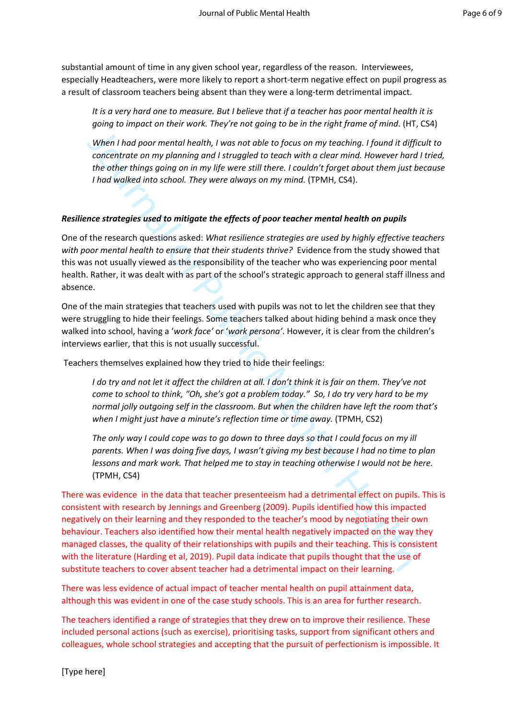substantial amount of time in any given school year, regardless of the reason. Interviewees, especially Headteachers, were more likely to report a short-term negative effect on pupil progress as a result of classroom teachers being absent than they were a long-term detrimental impact.

*It is a very hard one to measure. But I believe that if a teacher has poor mental health it is going to impact on their work. They're not going to be in the right frame of mind*. (HT, CS4)

*When I had poor mental health, I was not able to focus on my teaching. I found it difficult to concentrate on my planning and I struggled to teach with a clear mind. However hard I tried, the other things going on in my life were still there. I couldn't forget about them just because I had walked into school. They were always on my mind.* (TPMH, CS4).

# *Resilience strategies used to mitigate the effects of poor teacher mental health on pupils*

One of the research questions asked: *What resilience strategies are used by highly effective teachers with poor mental health to ensure that their students thrive?* Evidence from the study showed that this was not usually viewed as the responsibility of the teacher who was experiencing poor mental health. Rather, it was dealt with as part of the school's strategic approach to general staff illness and absence.

One of the main strategies that teachers used with pupils was not to let the children see that they were struggling to hide their feelings. Some teachers talked about hiding behind a mask once they walked into school, having a '*work face'* or '*work persona'*. However, it is clear from the children's interviews earlier, that this is not usually successful.

Teachers themselves explained how they tried to hide their feelings:

*I do try and not let it affect the children at all. I don't think it is fair on them. They've not come to school to think, "Oh, she's got a problem today." So, I do try very hard to be my normal jolly outgoing self in the classroom. But when the children have left the room that's when I might just have a minute's reflection time or time away.* (TPMH, CS2)

*The only way I could cope was to go down to three days so that I could focus on my ill parents. When I was doing five days, I wasn't giving my best because I had no time to plan lessons and mark work. That helped me to stay in teaching otherwise I would not be here.*  (TPMH, CS4)

When I had poor mental health, I was not oble to focus on my teaching. I found it difficered that the other hings going on in my life were still there. I couldn't forget about them in the other things going on in my life There was evidence in the data that teacher presenteeism had a detrimental effect on pupils. This is consistent with research by Jennings and Greenberg (2009). Pupils identified how this impacted negatively on their learning and they responded to the teacher's mood by negotiating their own behaviour. Teachers also identified how their mental health negatively impacted on the way they managed classes, the quality of their relationships with pupils and their teaching. This is consistent with the literature (Harding et al, 2019). Pupil data indicate that pupils thought that the use of substitute teachers to cover absent teacher had a detrimental impact on their learning.

There was less evidence of actual impact of teacher mental health on pupil attainment data, although this was evident in one of the case study schools. This is an area for further research.

The teachers identified a range of strategies that they drew on to improve their resilience. These included personal actions (such as exercise), prioritising tasks, support from significant others and colleagues, whole school strategies and accepting that the pursuit of perfectionism is impossible. It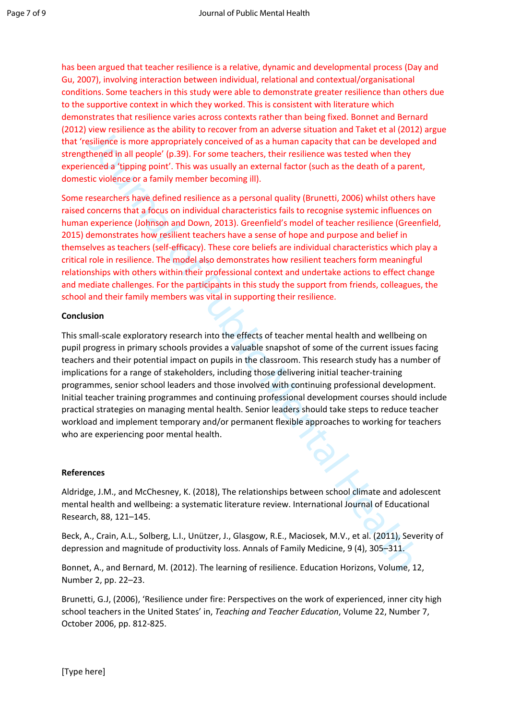has been argued that teacher resilience is a relative, dynamic and developmental process (Day and Gu, 2007), involving interaction between individual, relational and contextual/organisational conditions. Some teachers in this study were able to demonstrate greater resilience than others due to the supportive context in which they worked. This is consistent with literature which demonstrates that resilience varies across contexts rather than being fixed. Bonnet and Bernard (2012) view resilience as the ability to recover from an adverse situation and Taket et al (2012) argue that 'resilience is more appropriately conceived of as a human capacity that can be developed and strengthened in all people' (p.39). For some teachers, their resilience was tested when they experienced a 'tipping point'. This was usually an external factor (such as the death of a parent, domestic violence or a family member becoming ill).

we resultente as the abutty to recover from an anover selutation and taket et al (2012). The state is the constrained in all people (p.39). For some teachers, their resilience was tested when they encelled a fuping point". Some researchers have defined resilience as a personal quality (Brunetti, 2006) whilst others have raised concerns that a focus on individual characteristics fails to recognise systemic influences on human experience (Johnson and Down, 2013). Greenfield's model of teacher resilience (Greenfield, 2015) demonstrates how resilient teachers have a sense of hope and purpose and belief in themselves as teachers (self-efficacy). These core beliefs are individual characteristics which play a critical role in resilience. The model also demonstrates how resilient teachers form meaningful relationships with others within their professional context and undertake actions to effect change and mediate challenges. For the participants in this study the support from friends, colleagues, the school and their family members was vital in supporting their resilience.

# **Conclusion**

This small-scale exploratory research into the effects of teacher mental health and wellbeing on pupil progress in primary schools provides a valuable snapshot of some of the current issues facing teachers and their potential impact on pupils in the classroom. This research study has a number of implications for a range of stakeholders, including those delivering initial teacher-training programmes, senior school leaders and those involved with continuing professional development. Initial teacher training programmes and continuing professional development courses should include practical strategies on managing mental health. Senior leaders should take steps to reduce teacher workload and implement temporary and/or permanent flexible approaches to working for teachers who are experiencing poor mental health.

# **References**

Aldridge, J.M., and McChesney, K. (2018), The relationships between school climate and adolescent mental health and wellbeing: a systematic literature review. International Journal of Educational Research, 88, 121–145.

Beck, A., Crain, A.L., Solberg, L.I., Unützer, J., Glasgow, R.E., Maciosek, M.V., et al. (2011), Severity of depression and magnitude of productivity loss. Annals of Family Medicine, 9 (4), 305–311.

Bonnet, A., and Bernard, M. (2012). The learning of resilience. Education Horizons, Volume, 12, Number 2, pp. 22–23.

Brunetti, G.J, (2006), 'Resilience under fire: Perspectives on the work of experienced, inner city high school teachers in the United States' in, *Teaching and Teacher Education*, Volume 22, Number 7, October 2006, pp. 812-825.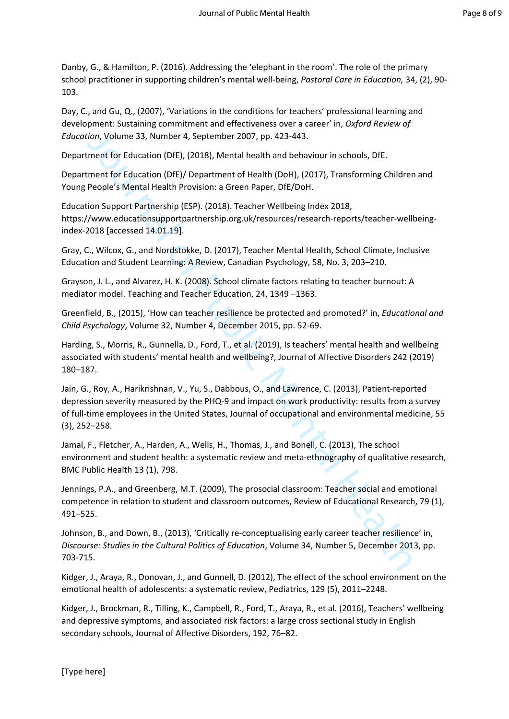Danby, G., & Hamilton, P. (2016). Addressing the 'elephant in the room'. The role of the primary school practitioner in supporting children's mental well-being, *Pastoral Care in Education,* 34, (2), 90- 103.

Day, C., and Gu, Q., (2007), 'Variations in the conditions for teachers' professional learning and development: Sustaining commitment and effectiveness over a career' in, *Oxford Review of Education*, Volume 33, Number 4, September 2007, pp. 423-443.

Department for Education (DfE), (2018), Mental health and behaviour in schools, DfE.

Department for Education (DfE)/ Department of Health (DoH), (2017), Transforming Children and Young People's Mental Health Provision: a Green Paper, DfE/DoH.

Education Support Partnership (ESP). (2018). Teacher Wellbeing Index 2018, https://www.educationsupportpartnership.org.uk/resources/research-reports/teacher-wellbeing[index-2018](https://www.educationsupportpartnership.org.uk/resources/research-reports/teacher-wellbeing-index-2018) [accessed 14.01.19].

Gray, C., Wilcox, G., and Nordstokke, D. (2017), Teacher Mental Health, School Climate, Inclusive Education and Student Learning: A Review, Canadian Psychology, 58, No. 3, 203–210.

Grayson, J. L., and Alvarez, H. K. (2008). School climate factors relating to teacher burnout: A mediator model. Teaching and Teacher Education, 24, 1349 –1363.

Greenfield, B., (2015), 'How can teacher resilience be protected and promoted?' in, *Educational and Child Psychology*, Volume 32, Number 4, December 2015, pp. 52-69.

Harding, S., Morris, R., Gunnella, D., Ford, T., et al. (2019), Is teachers' mental health and wellbeing associated with students' mental health and wellbeing?, Journal of Affective Disorders 242 (2019) 180–187.

cion, Volume 33, Number 4, September 2007, pp. 423-443.<br>
ment for Education (DfE), (2018), Mental health and behaviour in schools, DfE.<br>
ment for Education (DfE), (2018), Mental health and behaviour in schools, DfE.<br>
ment Jain, G., Roy, A., Harikrishnan, V., Yu, S., Dabbous, O., and Lawrence, C. (2013), Patient-reported depression severity measured by the PHQ-9 and impact on work productivity: results from a survey of full-time employees in the United States, Journal of occupational and environmental medicine, 55 (3), 252–258.

Jamal, F., Fletcher, A., Harden, A., Wells, H., Thomas, J., and Bonell, C. (2013), The school environment and student health: a systematic review and meta-ethnography of qualitative research, BMC Public Health 13 (1), 798.

Jennings, P.A., and Greenberg, M.T. (2009), The prosocial classroom: Teacher social and emotional competence in relation to student and classroom outcomes, Review of Educational Research, 79 (1), 491–525.

Johnson, B., and Down, B., (2013), 'Critically re-conceptualising early career teacher resilience' in, *Discourse: Studies in the Cultural Politics of Education*, Volume 34, Number 5, December 2013, pp. 703-715.

Kidger, J., Araya, R., Donovan, J., and Gunnell, D. (2012), The effect of the school environment on the emotional health of adolescents: a systematic review, Pediatrics, 129 (5), 2011–2248.

Kidger, J., Brockman, R., Tilling, K., Campbell, R., Ford, T., Araya, R., et al. (2016), Teachers' wellbeing and depressive symptoms, and associated risk factors: a large cross sectional study in English secondary schools, Journal of Affective Disorders, 192, 76–82.